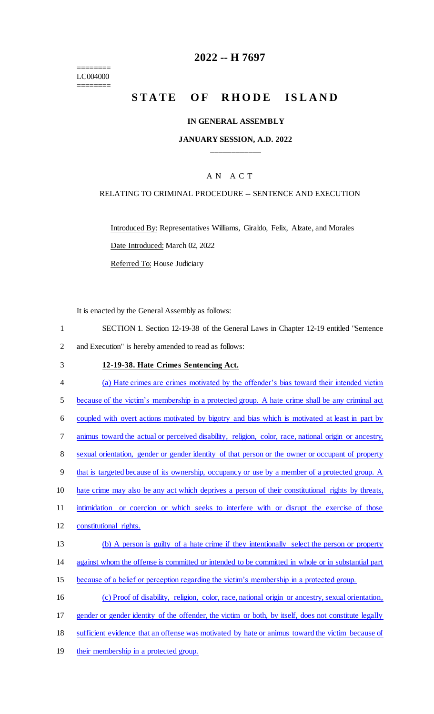======== LC004000 ========

## **2022 -- H 7697**

# STATE OF RHODE ISLAND

### **IN GENERAL ASSEMBLY**

### **JANUARY SESSION, A.D. 2022 \_\_\_\_\_\_\_\_\_\_\_\_**

### A N A C T

### RELATING TO CRIMINAL PROCEDURE -- SENTENCE AND EXECUTION

Introduced By: Representatives Williams, Giraldo, Felix, Alzate, and Morales Date Introduced: March 02, 2022

Referred To: House Judiciary

It is enacted by the General Assembly as follows:

- 1 SECTION 1. Section 12-19-38 of the General Laws in Chapter 12-19 entitled "Sentence 2 and Execution" is hereby amended to read as follows:
- 3 **12-19-38. Hate Crimes Sentencing Act.**
- 4 (a) Hate crimes are crimes motivated by the offender's bias toward their intended victim 5 because of the victim's membership in a protected group. A hate crime shall be any criminal act 6 coupled with overt actions motivated by bigotry and bias which is motivated at least in part by 7 animus toward the actual or perceived disability, religion, color, race, national origin or ancestry, 8 sexual orientation, gender or gender identity of that person or the owner or occupant of property 9 that is targeted because of its ownership, occupancy or use by a member of a protected group. A 10 hate crime may also be any act which deprives a person of their constitutional rights by threats, 11 intimidation or coercion or which seeks to interfere with or disrupt the exercise of those 12 constitutional rights. 13 (b) A person is guilty of a hate crime if they intentionally select the person or property 14 against whom the offense is committed or intended to be committed in whole or in substantial part 15 because of a belief or perception regarding the victim's membership in a protected group. 16 (c) Proof of disability, religion, color, race, national origin or ancestry, sexual orientation, 17 gender or gender identity of the offender, the victim or both, by itself, does not constitute legally 18 sufficient evidence that an offense was motivated by hate or animus toward the victim because of
- 19 their membership in a protected group.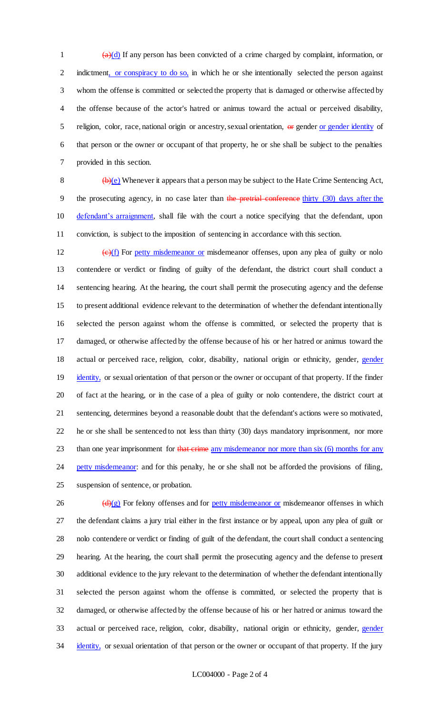$\frac{a}{d}$  1 (a)(d) If any person has been convicted of a crime charged by complaint, information, or 2 indictment, or conspiracy to do so, in which he or she intentionally selected the person against 3 whom the offense is committed or selected the property that is damaged or otherwise affected by 4 the offense because of the actor's hatred or animus toward the actual or perceived disability, 5 religion, color, race, national origin or ancestry, sexual orientation, or gender or gender identity of 6 that person or the owner or occupant of that property, he or she shall be subject to the penalties 7 provided in this section.

8  $\left(\frac{b}{e}\right)$  Whenever it appears that a person may be subject to the Hate Crime Sentencing Act, 9 the prosecuting agency, in no case later than the pretrial conference thirty (30) days after the 10 defendant's arraignment, shall file with the court a notice specifying that the defendant, upon 11 conviction, is subject to the imposition of sentencing in accordance with this section.

 $\left(\frac{e}{f}\right)$  For petty misdemeanor or misdemeanor offenses, upon any plea of guilty or nolo contendere or verdict or finding of guilty of the defendant, the district court shall conduct a sentencing hearing. At the hearing, the court shall permit the prosecuting agency and the defense to present additional evidence relevant to the determination of whether the defendant intentionally selected the person against whom the offense is committed, or selected the property that is damaged, or otherwise affected by the offense because of his or her hatred or animus toward the 18 actual or perceived race, religion, color, disability, national origin or ethnicity, gender, gender 19 identity, or sexual orientation of that person or the owner or occupant of that property. If the finder of fact at the hearing, or in the case of a plea of guilty or nolo contendere, the district court at sentencing, determines beyond a reasonable doubt that the defendant's actions were so motivated, he or she shall be sentenced to not less than thirty (30) days mandatory imprisonment, nor more 23 than one year imprisonment for that crime any misdemeanor nor more than six (6) months for any 24 petty misdemeanor: and for this penalty, he or she shall not be afforded the provisions of filing, suspension of sentence, or probation.

 (d)(g) For felony offenses and for petty misdemeanor or misdemeanor offenses in which the defendant claims a jury trial either in the first instance or by appeal, upon any plea of guilt or nolo contendere or verdict or finding of guilt of the defendant, the court shall conduct a sentencing hearing. At the hearing, the court shall permit the prosecuting agency and the defense to present additional evidence to the jury relevant to the determination of whether the defendant intentionally selected the person against whom the offense is committed, or selected the property that is damaged, or otherwise affected by the offense because of his or her hatred or animus toward the 33 actual or perceived race, religion, color, disability, national origin or ethnicity, gender, gender 34 identity, or sexual orientation of that person or the owner or occupant of that property. If the jury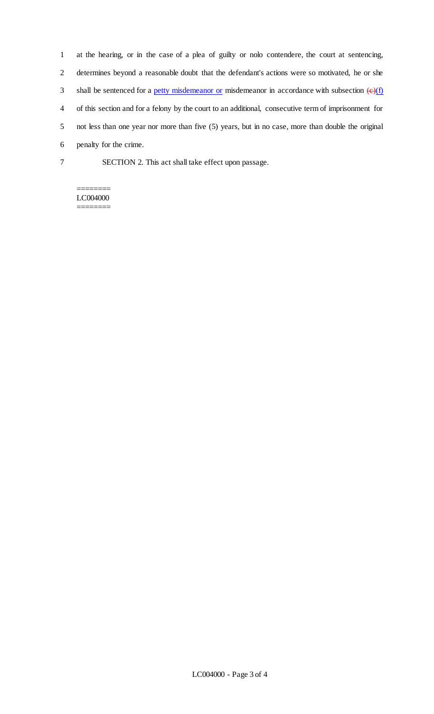at the hearing, or in the case of a plea of guilty or nolo contendere, the court at sentencing, determines beyond a reasonable doubt that the defendant's actions were so motivated, he or she 3 shall be sentenced for a petty misdemeanor or misdemeanor in accordance with subsection  $\left(\frac{e}{f}\right)$  of this section and for a felony by the court to an additional, consecutive term of imprisonment for not less than one year nor more than five (5) years, but in no case, more than double the original penalty for the crime. SECTION 2. This act shall take effect upon passage.

#### ======== LC004000 ========